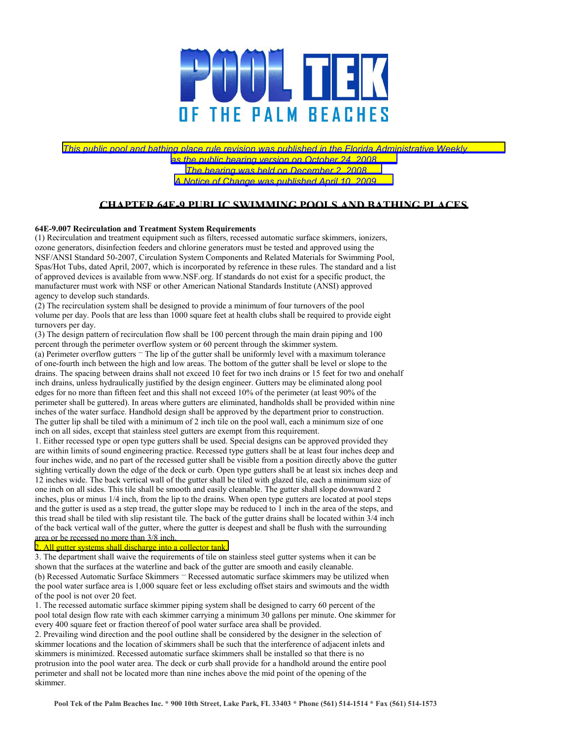

## *This public pool and bathing place rule revision was published in the Florida Administrative Weekly*

*as the public hearing version on October 24, 2008. The hearing was held on December 2, 2008.* 

*A Notice of Change was published April 10, 2009.* 

## **CHAPTER 64E-9 PUBLIC SWIMMING POOLS AND BATHING PLACES**

## **64E-9.007 Recirculation and Treatment System Requirements**

(1) Recirculation and treatment equipment such as filters, recessed automatic surface skimmers, ionizers, ozone generators, disinfection feeders and chlorine generators must be tested and approved using the NSF/ANSI Standard 50-2007, Circulation System Components and Related Materials for Swimming Pool, Spas/Hot Tubs, dated April, 2007, which is incorporated by reference in these rules. The standard and a list of approved devices is available from www.NSF.org. If standards do not exist for a specific product, the manufacturer must work with NSF or other American National Standards Institute (ANSI) approved agency to develop such standards.

(2) The recirculation system shall be designed to provide a minimum of four turnovers of the pool volume per day. Pools that are less than 1000 square feet at health clubs shall be required to provide eight turnovers per day.

(3) The design pattern of recirculation flow shall be 100 percent through the main drain piping and 100 percent through the perimeter overflow system or 60 percent through the skimmer system.

(a) Perimeter overflow gutters – The lip of the gutter shall be uniformly level with a maximum tolerance of one-fourth inch between the high and low areas. The bottom of the gutter shall be level or slope to the drains. The spacing between drains shall not exceed 10 feet for two inch drains or 15 feet for two and onehalf inch drains, unless hydraulically justified by the design engineer. Gutters may be eliminated along pool edges for no more than fifteen feet and this shall not exceed 10% of the perimeter (at least 90% of the perimeter shall be guttered). In areas where gutters are eliminated, handholds shall be provided within nine inches of the water surface. Handhold design shall be approved by the department prior to construction. The gutter lip shall be tiled with a minimum of 2 inch tile on the pool wall, each a minimum size of one inch on all sides, except that stainless steel gutters are exempt from this requirement.

1. Either recessed type or open type gutters shall be used. Special designs can be approved provided they are within limits of sound engineering practice. Recessed type gutters shall be at least four inches deep and four inches wide, and no part of the recessed gutter shall be visible from a position directly above the gutter sighting vertically down the edge of the deck or curb. Open type gutters shall be at least six inches deep and 12 inches wide. The back vertical wall of the gutter shall be tiled with glazed tile, each a minimum size of one inch on all sides. This tile shall be smooth and easily cleanable. The gutter shall slope downward 2 inches, plus or minus 1/4 inch, from the lip to the drains. When open type gutters are located at pool steps and the gutter is used as a step tread, the gutter slope may be reduced to 1 inch in the area of the steps, and this tread shall be tiled with slip resistant tile. The back of the gutter drains shall be located within 3/4 inch of the back vertical wall of the gutter, where the gutter is deepest and shall be flush with the surrounding area or be recessed no more than 3/8 inch.

## 2. All gutter systems shall discharge into a collector tank.

3. The department shall waive the requirements of tile on stainless steel gutter systems when it can be shown that the surfaces at the waterline and back of the gutter are smooth and easily cleanable. (b) Recessed Automatic Surface Skimmers – Recessed automatic surface skimmers may be utilized when the pool water surface area is 1,000 square feet or less excluding offset stairs and swimouts and the width of the pool is not over 20 feet.

1. The recessed automatic surface skimmer piping system shall be designed to carry 60 percent of the pool total design flow rate with each skimmer carrying a minimum 30 gallons per minute. One skimmer for every 400 square feet or fraction thereof of pool water surface area shall be provided.

2. Prevailing wind direction and the pool outline shall be considered by the designer in the selection of skimmer locations and the location of skimmers shall be such that the interference of adjacent inlets and skimmers is minimized. Recessed automatic surface skimmers shall be installed so that there is no protrusion into the pool water area. The deck or curb shall provide for a handhold around the entire pool perimeter and shall not be located more than nine inches above the mid point of the opening of the skimmer.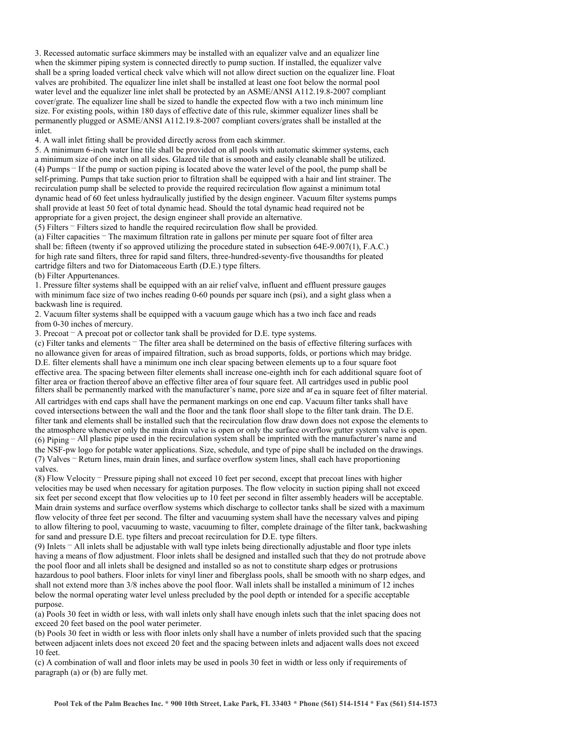3. Recessed automatic surface skimmers may be installed with an equalizer valve and an equalizer line when the skimmer piping system is connected directly to pump suction. If installed, the equalizer valve shall be a spring loaded vertical check valve which will not allow direct suction on the equalizer line. Float valves are prohibited. The equalizer line inlet shall be installed at least one foot below the normal pool water level and the equalizer line inlet shall be protected by an ASME/ANSI A112.19.8-2007 compliant cover/grate. The equalizer line shall be sized to handle the expected flow with a two inch minimum line size. For existing pools, within 180 days of effective date of this rule, skimmer equalizer lines shall be permanently plugged or ASME/ANSI A112.19.8-2007 compliant covers/grates shall be installed at the inlet.

4. A wall inlet fitting shall be provided directly across from each skimmer.

5. A minimum 6-inch water line tile shall be provided on all pools with automatic skimmer systems, each a minimum size of one inch on all sides. Glazed tile that is smooth and easily cleanable shall be utilized. (4) Pumps – If the pump or suction piping is located above the water level of the pool, the pump shall be self-priming. Pumps that take suction prior to filtration shall be equipped with a hair and lint strainer. The recirculation pump shall be selected to provide the required recirculation flow against a minimum total dynamic head of 60 feet unless hydraulically justified by the design engineer. Vacuum filter systems pumps shall provide at least 50 feet of total dynamic head. Should the total dynamic head required not be appropriate for a given project, the design engineer shall provide an alternative.

(5) Filters – Filters sized to handle the required recirculation flow shall be provided.

(a) Filter capacities – The maximum filtration rate in gallons per minute per square foot of filter area shall be: fifteen (twenty if so approved utilizing the procedure stated in subsection 64E-9.007(1), F.A.C.) for high rate sand filters, three for rapid sand filters, three-hundred-seventy-five thousandths for pleated cartridge filters and two for Diatomaceous Earth (D.E.) type filters.

(b) Filter Appurtenances.

1. Pressure filter systems shall be equipped with an air relief valve, influent and effluent pressure gauges with minimum face size of two inches reading 0-60 pounds per square inch (psi), and a sight glass when a backwash line is required.

2. Vacuum filter systems shall be equipped with a vacuum gauge which has a two inch face and reads from 0-30 inches of mercury.

3. Precoat – A precoat pot or collector tank shall be provided for D.E. type systems.

(c) Filter tanks and elements – The filter area shall be determined on the basis of effective filtering surfaces with no allowance given for areas of impaired filtration, such as broad supports, folds, or portions which may bridge. D.E. filter elements shall have a minimum one inch clear spacing between elements up to a four square foot effective area. The spacing between filter elements shall increase one-eighth inch for each additional square foot of filter area or fraction thereof above an effective filter area of four square feet. All cartridges used in public pool filters shall be permanently marked with the manufacturer's name, pore size and area in square feet of filter material.

All cartridges with end caps shall have the permanent markings on one end cap. Vacuum filter tanks shall have coved intersections between the wall and the floor and the tank floor shall slope to the filter tank drain. The D.E. filter tank and elements shall be installed such that the recirculation flow draw down does not expose the elements to the atmosphere whenever only the main drain valve is open or only the surface overflow gutter system valve is open.  $(6)$  Piping – All plastic pipe used in the recirculation system shall be imprinted with the manufacturer's name and

the NSF-pw logo for potable water applications. Size, schedule, and type of pipe shall be included on the drawings. (7) Valves – Return lines, main drain lines, and surface overflow system lines, shall each have proportioning valves.

(8) Flow Velocity – Pressure piping shall not exceed 10 feet per second, except that precoat lines with higher velocities may be used when necessary for agitation purposes. The flow velocity in suction piping shall not exceed six feet per second except that flow velocities up to 10 feet per second in filter assembly headers will be acceptable. Main drain systems and surface overflow systems which discharge to collector tanks shall be sized with a maximum flow velocity of three feet per second. The filter and vacuuming system shall have the necessary valves and piping to allow filtering to pool, vacuuming to waste, vacuuming to filter, complete drainage of the filter tank, backwashing for sand and pressure D.E. type filters and precoat recirculation for D.E. type filters.

(9) Inlets – All inlets shall be adjustable with wall type inlets being directionally adjustable and floor type inlets having a means of flow adjustment. Floor inlets shall be designed and installed such that they do not protrude above the pool floor and all inlets shall be designed and installed so as not to constitute sharp edges or protrusions hazardous to pool bathers. Floor inlets for vinyl liner and fiberglass pools, shall be smooth with no sharp edges, and shall not extend more than 3/8 inches above the pool floor. Wall inlets shall be installed a minimum of 12 inches below the normal operating water level unless precluded by the pool depth or intended for a specific acceptable purpose.

(a) Pools 30 feet in width or less, with wall inlets only shall have enough inlets such that the inlet spacing does not exceed 20 feet based on the pool water perimeter.

(b) Pools 30 feet in width or less with floor inlets only shall have a number of inlets provided such that the spacing between adjacent inlets does not exceed 20 feet and the spacing between inlets and adjacent walls does not exceed 10 feet.

(c) A combination of wall and floor inlets may be used in pools 30 feet in width or less only if requirements of paragraph (a) or (b) are fully met.